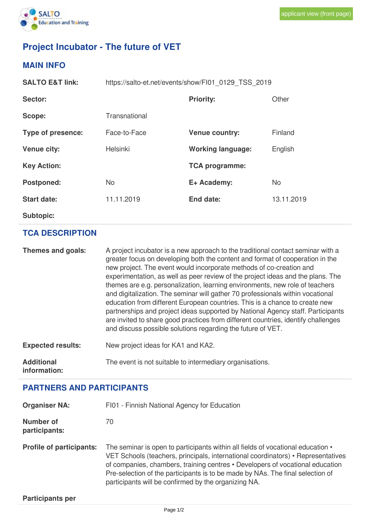

## **Project Incubator - The future of VET**

## **MAIN INFO**

| <b>SALTO E&amp;T link:</b> | https://salto-et.net/events/show/FI01 0129 TSS 2019 |                          |            |
|----------------------------|-----------------------------------------------------|--------------------------|------------|
| Sector:                    |                                                     | <b>Priority:</b>         | Other      |
| Scope:                     | Transnational                                       |                          |            |
| Type of presence:          | Face-to-Face                                        | <b>Venue country:</b>    | Finland    |
| <b>Venue city:</b>         | Helsinki                                            | <b>Working language:</b> | English    |
| <b>Key Action:</b>         |                                                     | <b>TCA programme:</b>    |            |
| Postponed:                 | <b>No</b>                                           | E+ Academy:              | No         |
| <b>Start date:</b>         | 11.11.2019                                          | End date:                | 13.11.2019 |
| <b>Subtopic:</b>           |                                                     |                          |            |

## **TCA DESCRIPTION**

**Themes and goals:** A project incubator is a new approach to the traditional contact seminar with a greater focus on developing both the content and format of cooperation in the new project. The event would incorporate methods of co-creation and experimentation, as well as peer review of the project ideas and the plans. The themes are e.g. personalization, learning environments, new role of teachers and digitalization. The seminar will gather 70 professionals within vocational education from different European countries. This is a chance to create new partnerships and project ideas supported by National Agency staff. Participants are invited to share good practices from different countries, identify challenges and discuss possible solutions regarding the future of VET. **Expected results:** New project ideas for KA1 and KA2. **Additional** The event is not suitable to intermediary organisations.

**information:**

## **PARTNERS AND PARTICIPANTS**

| <b>Organiser NA:</b>            | FI01 - Finnish National Agency for Education                                                                                                                                                                                                                                                                                                                                                   |  |  |
|---------------------------------|------------------------------------------------------------------------------------------------------------------------------------------------------------------------------------------------------------------------------------------------------------------------------------------------------------------------------------------------------------------------------------------------|--|--|
| Number of<br>participants:      | 70                                                                                                                                                                                                                                                                                                                                                                                             |  |  |
| <b>Profile of participants:</b> | The seminar is open to participants within all fields of vocational education •<br>VET Schools (teachers, principals, international coordinators) • Representatives<br>of companies, chambers, training centres • Developers of vocational education<br>Pre-selection of the participants is to be made by NAs. The final selection of<br>participants will be confirmed by the organizing NA. |  |  |
| <b>Participants per</b>         |                                                                                                                                                                                                                                                                                                                                                                                                |  |  |